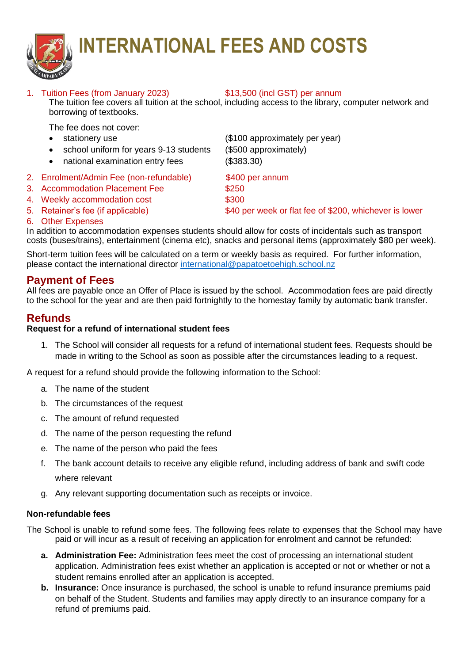

# **INTERNATIONAL FEES AND COSTS**

# 1. Tuition Fees (from January 2023) \$13,500 (incl GST) per annum

The tuition fee covers all tuition at the school, including access to the library, computer network and borrowing of textbooks.

The fee does not cover:

- 
- school uniform for years 9-13 students (\$500 approximately)
- national examination entry fees (\$383.30)
- 2. Enrolment/Admin Fee (non-refundable) \$400 per annum
- 3. Accommodation Placement Fee  $$250$
- 4. Weekly accommodation cost \$300
- 

• stationery use (\$100 approximately per year)

- 5. Retainer's fee (if applicable)  $$40$  per week or flat fee of \$200, whichever is lower
- 6. Other Expenses

In addition to accommodation expenses students should allow for costs of incidentals such as transport costs (buses/trains), entertainment (cinema etc), snacks and personal items (approximately \$80 per week).

Short-term tuition fees will be calculated on a term or weekly basis as required. For further information, please contact the international director [international@papatoetoehigh.school.nz](mailto:international@papatoetoehigh.school.nz)

# **Payment of Fees**

All fees are payable once an Offer of Place is issued by the school. Accommodation fees are paid directly to the school for the year and are then paid fortnightly to the homestay family by automatic bank transfer.

# **Refunds**

# **Request for a refund of international student fees**

1. The School will consider all requests for a refund of international student fees. Requests should be made in writing to the School as soon as possible after the circumstances leading to a request.

A request for a refund should provide the following information to the School:

- a. The name of the student
- b. The circumstances of the request
- c. The amount of refund requested
- d. The name of the person requesting the refund
- e. The name of the person who paid the fees
- f. The bank account details to receive any eligible refund, including address of bank and swift code where relevant
- g. Any relevant supporting documentation such as receipts or invoice.

# **Non-refundable fees**

The School is unable to refund some fees. The following fees relate to expenses that the School may have paid or will incur as a result of receiving an application for enrolment and cannot be refunded:

- **a. Administration Fee:** Administration fees meet the cost of processing an international student application. Administration fees exist whether an application is accepted or not or whether or not a student remains enrolled after an application is accepted.
- **b. Insurance:** Once insurance is purchased, the school is unable to refund insurance premiums paid on behalf of the Student. Students and families may apply directly to an insurance company for a refund of premiums paid.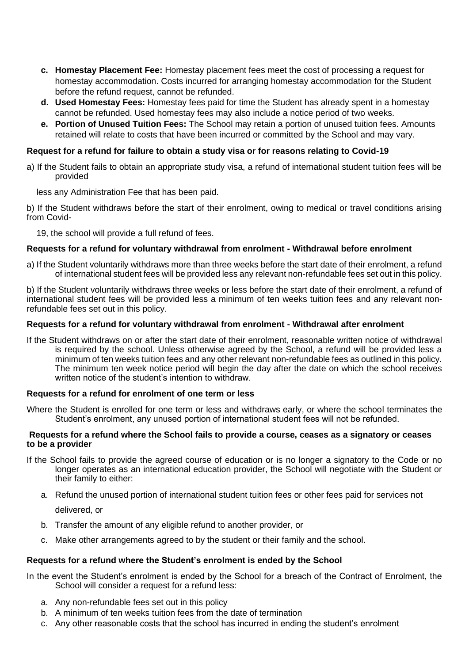- **c. Homestay Placement Fee:** Homestay placement fees meet the cost of processing a request for homestay accommodation. Costs incurred for arranging homestay accommodation for the Student before the refund request, cannot be refunded.
- **d. Used Homestay Fees:** Homestay fees paid for time the Student has already spent in a homestay cannot be refunded. Used homestay fees may also include a notice period of two weeks.
- **e. Portion of Unused Tuition Fees:** The School may retain a portion of unused tuition fees. Amounts retained will relate to costs that have been incurred or committed by the School and may vary.

### **Request for a refund for failure to obtain a study visa or for reasons relating to Covid-19**

a) If the Student fails to obtain an appropriate study visa, a refund of international student tuition fees will be provided

less any Administration Fee that has been paid.

b) If the Student withdraws before the start of their enrolment, owing to medical or travel conditions arising from Covid-

19, the school will provide a full refund of fees.

#### **Requests for a refund for voluntary withdrawal from enrolment - Withdrawal before enrolment**

a) If the Student voluntarily withdraws more than three weeks before the start date of their enrolment, a refund of international student fees will be provided less any relevant non-refundable fees set out in this policy.

b) If the Student voluntarily withdraws three weeks or less before the start date of their enrolment, a refund of international student fees will be provided less a minimum of ten weeks tuition fees and any relevant nonrefundable fees set out in this policy.

#### **Requests for a refund for voluntary withdrawal from enrolment - Withdrawal after enrolment**

If the Student withdraws on or after the start date of their enrolment, reasonable written notice of withdrawal is required by the school. Unless otherwise agreed by the School, a refund will be provided less a minimum of ten weeks tuition fees and any other relevant non-refundable fees as outlined in this policy. The minimum ten week notice period will begin the day after the date on which the school receives written notice of the student's intention to withdraw.

#### **Requests for a refund for enrolment of one term or less**

Where the Student is enrolled for one term or less and withdraws early, or where the school terminates the Student's enrolment, any unused portion of international student fees will not be refunded.

#### **Requests for a refund where the School fails to provide a course, ceases as a signatory or ceases to be a provider**

- If the School fails to provide the agreed course of education or is no longer a signatory to the Code or no longer operates as an international education provider, the School will negotiate with the Student or their family to either:
	- a. Refund the unused portion of international student tuition fees or other fees paid for services not

delivered, or

- b. Transfer the amount of any eligible refund to another provider, or
- c. Make other arrangements agreed to by the student or their family and the school.

#### **Requests for a refund where the Student's enrolment is ended by the School**

In the event the Student's enrolment is ended by the School for a breach of the Contract of Enrolment, the School will consider a request for a refund less:

- a. Any non-refundable fees set out in this policy
- b. A minimum of ten weeks tuition fees from the date of termination
- c. Any other reasonable costs that the school has incurred in ending the student's enrolment